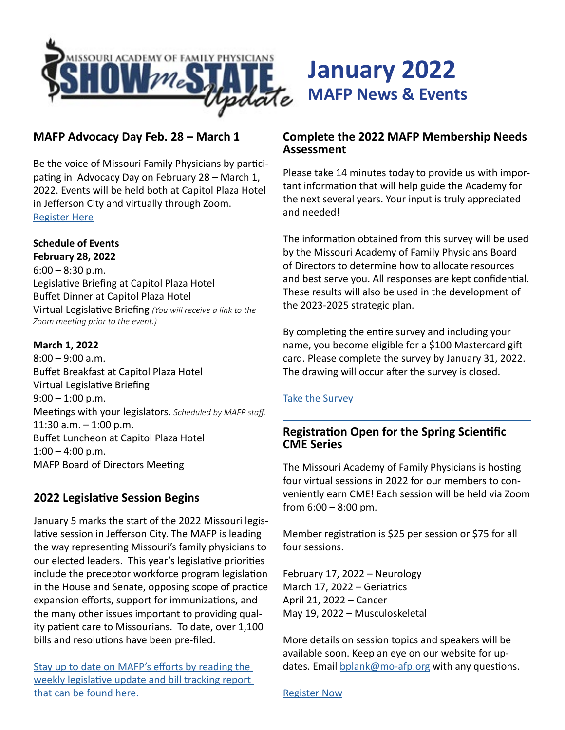

# **MAFP Advocacy Day Feb. 28 – March 1**

Be the voice of Missouri Family Physicians by participating in Advocacy Day on February 28 – March 1, 2022. Events will be held both at Capitol Plaza Hotel in Jefferson City and virtually through Zoom. [Register Here](https://moafp.formstack.com/forms/advocacy_day_registration)

#### **Schedule of Events**

**February 28, 2022**  $6:00 - 8:30$  p.m. Legislative Briefing at Capitol Plaza Hotel Buffet Dinner at Capitol Plaza Hotel Virtual Legislative Briefing *(You will receive a link to the Zoom meeting prior to the event.)*

#### **March 1, 2022**

8:00 – 9:00 a.m. Buffet Breakfast at Capitol Plaza Hotel Virtual Legislative Briefing  $9:00 - 1:00$  p.m. Meetings with your legislators. *Scheduled by MAFP staff.* 11:30 a.m. – 1:00 p.m. Buffet Luncheon at Capitol Plaza Hotel  $1:00 - 4:00$  p.m. MAFP Board of Directors Meeting

# **2022 Legislative Session Begins**

January 5 marks the start of the 2022 Missouri legislative session in Jefferson City. The MAFP is leading the way representing Missouri's family physicians to our elected leaders. This year's legislative priorities include the preceptor workforce program legislation in the House and Senate, opposing scope of practice expansion efforts, support for immunizations, and the many other issues important to providing quality patient care to Missourians. To date, over 1,100 bills and resolutions have been pre-filed.

[Stay up to date on MAFP's efforts by reading the](https://www.mo-afp.org/members-only/legislative-session/)  [weekly legislative update and bill tracking report](https://www.mo-afp.org/members-only/legislative-session/)  [that can be found here.](https://www.mo-afp.org/members-only/legislative-session/)

#### **Complete the 2022 MAFP Membership Needs Assessment**

**January 2022**

**MAFP News & Events**

Please take 14 minutes today to provide us with important information that will help guide the Academy for the next several years. Your input is truly appreciated and needed!

The information obtained from this survey will be used by the Missouri Academy of Family Physicians Board of Directors to determine how to allocate resources and best serve you. All responses are kept confidential. These results will also be used in the development of the 2023-2025 strategic plan.

By completing the entire survey and including your name, you become eligible for a \$100 Mastercard gift card. Please complete the survey by January 31, 2022. The drawing will occur after the survey is closed.

#### [Take the Survey](https://www.surveymonkey.com/r/MAFPmembers)

# **Registration Open for the Spring Scientific CME Series**

The Missouri Academy of Family Physicians is hosting four virtual sessions in 2022 for our members to conveniently earn CME! Each session will be held via Zoom from  $6:00 - 8:00$  pm.

Member registration is \$25 per session or \$75 for all four sessions.

February 17, 2022 – Neurology March 17, 2022 – Geriatrics April 21, 2022 – Cancer May 19, 2022 – Musculoskeletal

More details on session topics and speakers will be available soon. Keep an eye on our website for updates. Email [bplank@mo-afp.org](mailto:bplank%40mo-afp.org?subject=) with any questions.

[Register Now](https://moafp.formstack.com/forms/cme_virtual)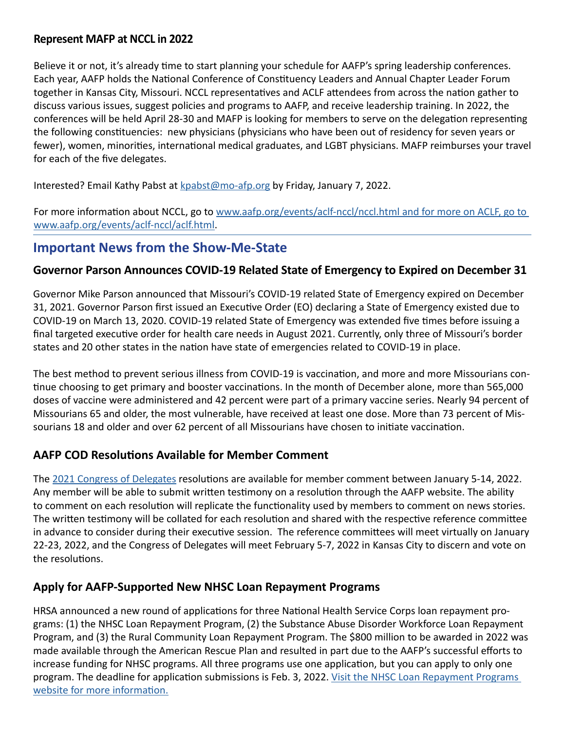#### **Represent MAFP at NCCL in 2022**

Believe it or not, it's already time to start planning your schedule for AAFP's spring leadership conferences. Each year, AAFP holds the National Conference of Constituency Leaders and Annual Chapter Leader Forum together in Kansas City, Missouri. NCCL representatives and ACLF attendees from across the nation gather to discuss various issues, suggest policies and programs to AAFP, and receive leadership training. In 2022, the conferences will be held April 28-30 and MAFP is looking for members to serve on the delegation representing the following constituencies: new physicians (physicians who have been out of residency for seven years or fewer), women, minorities, international medical graduates, and LGBT physicians. MAFP reimburses your travel for each of the five delegates.

Interested? Email Kathy Pabst at  $k$  pabst  $@$  mo-afp.org by Friday, January 7, 2022.

For more information about NCCL, go to www.aafp.org/events/aclf-nccl/nccl.html and for more on ACLF, go to [www.aafp.org/events/aclf-nccl/aclf.html.](http://www.aafp.org/events/aclf-nccl/nccl.html and for more on ACLF, go to www.aafp.org/events/aclf-nccl/aclf.html)

# **Important News from the Show-Me-State**

# **Governor Parson Announces COVID-19 Related State of Emergency to Expired on December 31**

Governor Mike Parson announced that Missouri's COVID-19 related State of Emergency expired on December 31, 2021. Governor Parson first issued an Executive Order (EO) declaring a State of Emergency existed due to COVID-19 on March 13, 2020. COVID-19 related State of Emergency was extended five times before issuing a final targeted executive order for health care needs in August 2021. Currently, only three of Missouri's border states and 20 other states in the nation have state of emergencies related to COVID-19 in place.

The best method to prevent serious illness from COVID-19 is vaccination, and more and more Missourians continue choosing to get primary and booster vaccinations. In the month of December alone, more than 565,000 doses of vaccine were administered and 42 percent were part of a primary vaccine series. Nearly 94 percent of Missourians 65 and older, the most vulnerable, have received at least one dose. More than 73 percent of Missourians 18 and older and over 62 percent of all Missourians have chosen to initiate vaccination.

# **AAFP COD Resolutions Available for Member Comment**

The [2021 Congress of Delegates](https://www.aafp.org/about/congress-delegates.html) resolutions are available for member comment between January 5-14, 2022. Any member will be able to submit written testimony on a resolution through the AAFP website. The ability to comment on each resolution will replicate the functionality used by members to comment on news stories. The written testimony will be collated for each resolution and shared with the respective reference committee in advance to consider during their executive session. The reference committees will meet virtually on January 22-23, 2022, and the Congress of Delegates will meet February 5-7, 2022 in Kansas City to discern and vote on the resolutions.

# **Apply for AAFP-Supported New NHSC Loan Repayment Programs**

HRSA announced a new round of applications for three National Health Service Corps loan repayment programs: (1) the NHSC Loan Repayment Program, (2) the Substance Abuse Disorder Workforce Loan Repayment Program, and (3) the Rural Community Loan Repayment Program. The \$800 million to be awarded in 2022 was made available through the American Rescue Plan and resulted in part due to the AAFP's successful efforts to increase funding for NHSC programs. All three programs use one application, but you can apply to only one program. The deadline for application submissions is Feb. 3, 2022. Visit the NHSC Loan Repayment Programs [website for more information.](https://nhsc.hrsa.gov/loan-repayment/nhsc-all-loan-repayment-programs-comparison)